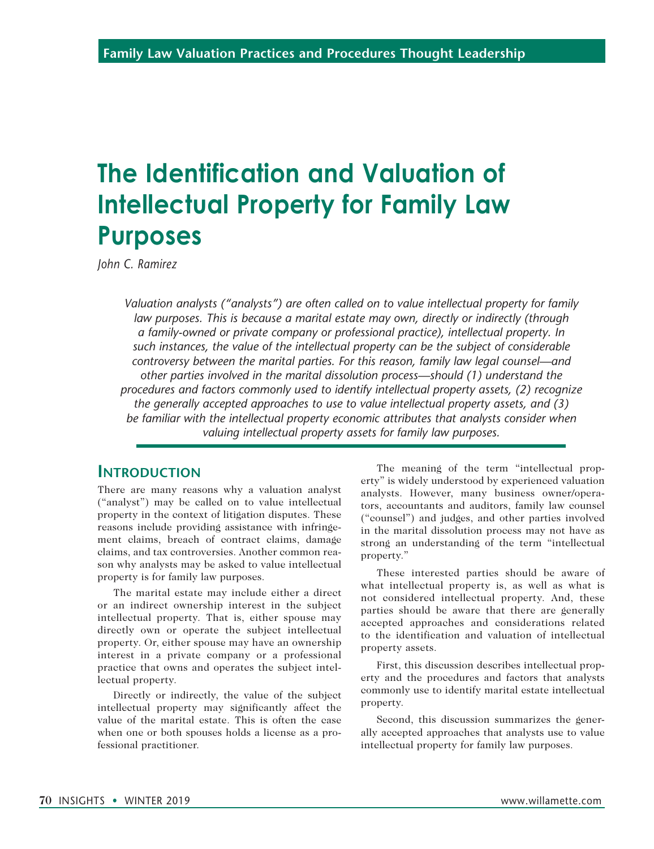# **The Identification and Valuation of Intellectual Property for Family Law Purposes**

*John C. Ramirez*

*Valuation analysts ("analysts") are often called on to value intellectual property for family law purposes. This is because a marital estate may own, directly or indirectly (through a family-owned or private company or professional practice), intellectual property. In such instances, the value of the intellectual property can be the subject of considerable controversy between the marital parties. For this reason, family law legal counsel—and other parties involved in the marital dissolution process—should (1) understand the procedures and factors commonly used to identify intellectual property assets, (2) recognize the generally accepted approaches to use to value intellectual property assets, and (3) be familiar with the intellectual property economic attributes that analysts consider when valuing intellectual property assets for family law purposes.*

#### **Introduction**

There are many reasons why a valuation analyst ("analyst") may be called on to value intellectual property in the context of litigation disputes. These reasons include providing assistance with infringement claims, breach of contract claims, damage claims, and tax controversies. Another common reason why analysts may be asked to value intellectual property is for family law purposes.

The marital estate may include either a direct or an indirect ownership interest in the subject intellectual property. That is, either spouse may directly own or operate the subject intellectual property. Or, either spouse may have an ownership interest in a private company or a professional practice that owns and operates the subject intellectual property.

Directly or indirectly, the value of the subject intellectual property may significantly affect the value of the marital estate. This is often the case when one or both spouses holds a license as a professional practitioner.

The meaning of the term "intellectual property" is widely understood by experienced valuation analysts. However, many business owner/operators, accountants and auditors, family law counsel ("counsel") and judges, and other parties involved in the marital dissolution process may not have as strong an understanding of the term "intellectual property."

These interested parties should be aware of what intellectual property is, as well as what is not considered intellectual property. And, these parties should be aware that there are generally accepted approaches and considerations related to the identification and valuation of intellectual property assets.

First, this discussion describes intellectual property and the procedures and factors that analysts commonly use to identify marital estate intellectual property.

Second, this discussion summarizes the generally accepted approaches that analysts use to value intellectual property for family law purposes.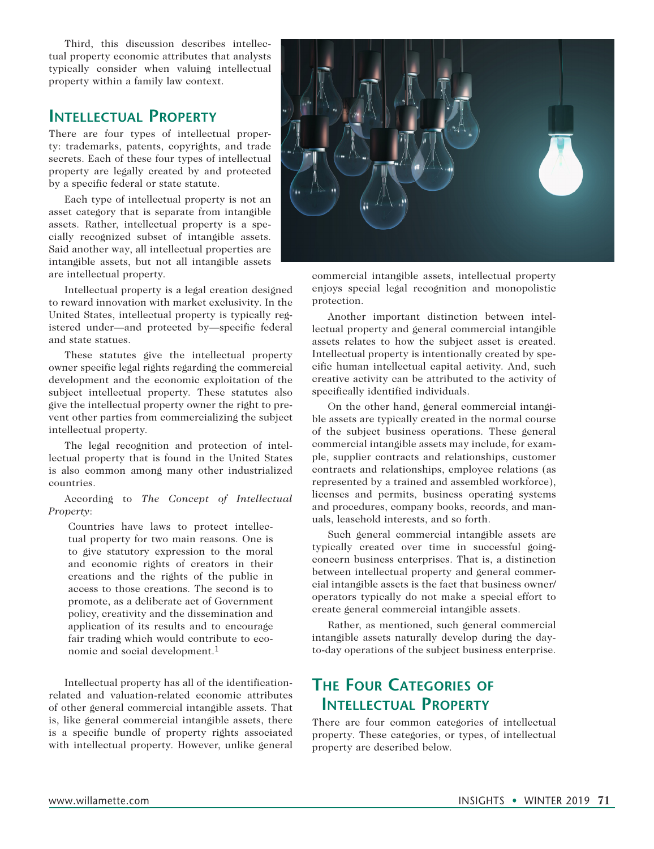Third, this discussion describes intellectual property economic attributes that analysts typically consider when valuing intellectual property within a family law context.

### **Intellectual Property**

There are four types of intellectual property: trademarks, patents, copyrights, and trade secrets. Each of these four types of intellectual property are legally created by and protected by a specific federal or state statute.

Each type of intellectual property is not an asset category that is separate from intangible assets. Rather, intellectual property is a specially recognized subset of intangible assets. Said another way, all intellectual properties are intangible assets, but not all intangible assets are intellectual property.

Intellectual property is a legal creation designed to reward innovation with market exclusivity. In the United States, intellectual property is typically registered under—and protected by—specific federal and state statues.

These statutes give the intellectual property owner specific legal rights regarding the commercial development and the economic exploitation of the subject intellectual property. These statutes also give the intellectual property owner the right to prevent other parties from commercializing the subject intellectual property.

The legal recognition and protection of intellectual property that is found in the United States is also common among many other industrialized countries.

According to *The Concept of Intellectual Property*:

Countries have laws to protect intellectual property for two main reasons. One is to give statutory expression to the moral and economic rights of creators in their creations and the rights of the public in access to those creations. The second is to promote, as a deliberate act of Government policy, creativity and the dissemination and application of its results and to encourage fair trading which would contribute to economic and social development.1

Intellectual property has all of the identificationrelated and valuation-related economic attributes of other general commercial intangible assets. That is, like general commercial intangible assets, there is a specific bundle of property rights associated with intellectual property. However, unlike general



commercial intangible assets, intellectual property enjoys special legal recognition and monopolistic protection.

Another important distinction between intellectual property and general commercial intangible assets relates to how the subject asset is created. Intellectual property is intentionally created by specific human intellectual capital activity. And, such creative activity can be attributed to the activity of specifically identified individuals.

On the other hand, general commercial intangible assets are typically created in the normal course of the subject business operations. These general commercial intangible assets may include, for example, supplier contracts and relationships, customer contracts and relationships, employee relations (as represented by a trained and assembled workforce), licenses and permits, business operating systems and procedures, company books, records, and manuals, leasehold interests, and so forth.

Such general commercial intangible assets are typically created over time in successful goingconcern business enterprises. That is, a distinction between intellectual property and general commercial intangible assets is the fact that business owner/ operators typically do not make a special effort to create general commercial intangible assets.

Rather, as mentioned, such general commercial intangible assets naturally develop during the dayto-day operations of the subject business enterprise.

## **The Four Categories of Intellectual Property**

There are four common categories of intellectual property. These categories, or types, of intellectual property are described below.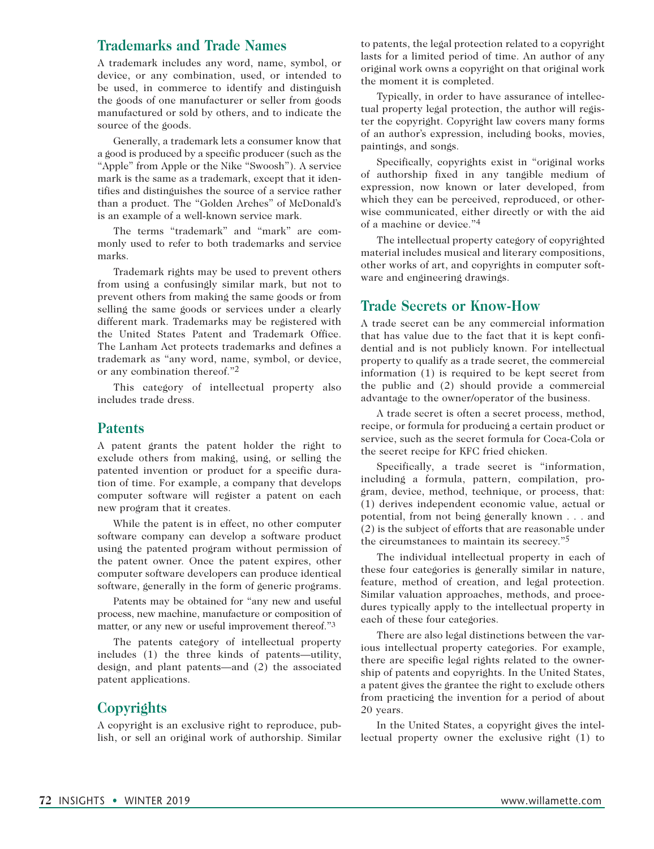#### **Trademarks and Trade Names**

A trademark includes any word, name, symbol, or device, or any combination, used, or intended to be used, in commerce to identify and distinguish the goods of one manufacturer or seller from goods manufactured or sold by others, and to indicate the source of the goods.

Generally, a trademark lets a consumer know that a good is produced by a specific producer (such as the "Apple" from Apple or the Nike "Swoosh"). A service mark is the same as a trademark, except that it identifies and distinguishes the source of a service rather than a product. The "Golden Arches" of McDonald's is an example of a well-known service mark.

The terms "trademark" and "mark" are commonly used to refer to both trademarks and service marks.

Trademark rights may be used to prevent others from using a confusingly similar mark, but not to prevent others from making the same goods or from selling the same goods or services under a clearly different mark. Trademarks may be registered with the United States Patent and Trademark Office. The Lanham Act protects trademarks and defines a trademark as "any word, name, symbol, or device, or any combination thereof."2

This category of intellectual property also includes trade dress.

#### **Patents**

A patent grants the patent holder the right to exclude others from making, using, or selling the patented invention or product for a specific duration of time. For example, a company that develops computer software will register a patent on each new program that it creates.

While the patent is in effect, no other computer software company can develop a software product using the patented program without permission of the patent owner. Once the patent expires, other computer software developers can produce identical software, generally in the form of generic programs.

Patents may be obtained for "any new and useful process, new machine, manufacture or composition of matter, or any new or useful improvement thereof."3

The patents category of intellectual property includes (1) the three kinds of patents—utility, design, and plant patents—and (2) the associated patent applications.

#### **Copyrights**

A copyright is an exclusive right to reproduce, publish, or sell an original work of authorship. Similar

to patents, the legal protection related to a copyright lasts for a limited period of time. An author of any original work owns a copyright on that original work the moment it is completed.

Typically, in order to have assurance of intellectual property legal protection, the author will register the copyright. Copyright law covers many forms of an author's expression, including books, movies, paintings, and songs.

Specifically, copyrights exist in "original works of authorship fixed in any tangible medium of expression, now known or later developed, from which they can be perceived, reproduced, or otherwise communicated, either directly or with the aid of a machine or device."4

The intellectual property category of copyrighted material includes musical and literary compositions, other works of art, and copyrights in computer software and engineering drawings.

#### **Trade Secrets or Know-How**

A trade secret can be any commercial information that has value due to the fact that it is kept confidential and is not publicly known. For intellectual property to qualify as a trade secret, the commercial information (1) is required to be kept secret from the public and (2) should provide a commercial advantage to the owner/operator of the business.

A trade secret is often a secret process, method, recipe, or formula for producing a certain product or service, such as the secret formula for Coca-Cola or the secret recipe for KFC fried chicken.

Specifically, a trade secret is "information, including a formula, pattern, compilation, program, device, method, technique, or process, that: (1) derives independent economic value, actual or potential, from not being generally known . . . and (2) is the subject of efforts that are reasonable under the circumstances to maintain its secrecy."5

The individual intellectual property in each of these four categories is generally similar in nature, feature, method of creation, and legal protection. Similar valuation approaches, methods, and procedures typically apply to the intellectual property in each of these four categories.

There are also legal distinctions between the various intellectual property categories. For example, there are specific legal rights related to the ownership of patents and copyrights. In the United States, a patent gives the grantee the right to exclude others from practicing the invention for a period of about 20 years.

In the United States, a copyright gives the intellectual property owner the exclusive right (1) to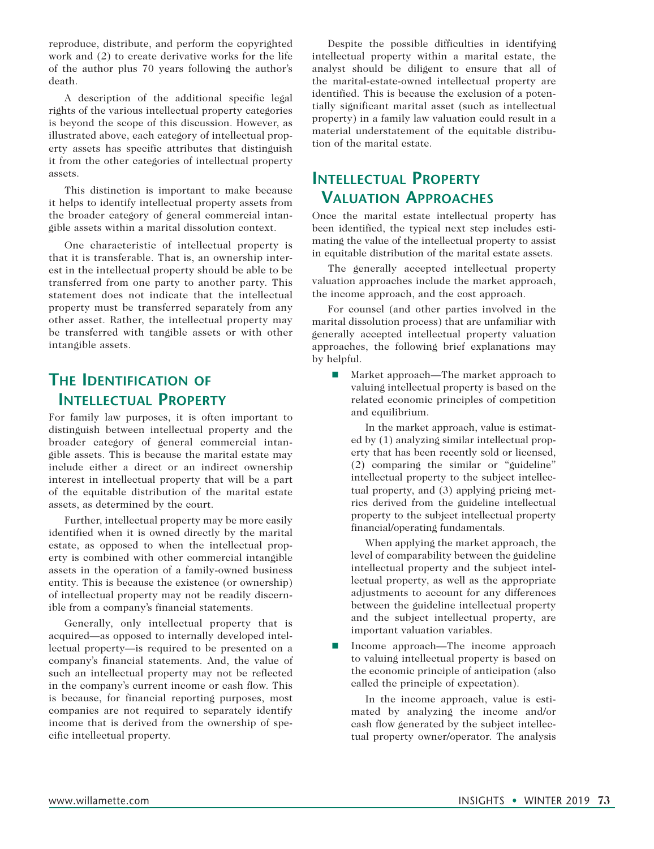reproduce, distribute, and perform the copyrighted work and (2) to create derivative works for the life of the author plus 70 years following the author's death.

A description of the additional specific legal rights of the various intellectual property categories is beyond the scope of this discussion. However, as illustrated above, each category of intellectual property assets has specific attributes that distinguish it from the other categories of intellectual property assets.

This distinction is important to make because it helps to identify intellectual property assets from the broader category of general commercial intangible assets within a marital dissolution context.

One characteristic of intellectual property is that it is transferable. That is, an ownership interest in the intellectual property should be able to be transferred from one party to another party. This statement does not indicate that the intellectual property must be transferred separately from any other asset. Rather, the intellectual property may be transferred with tangible assets or with other intangible assets.

## **The Identification of Intellectual Property**

For family law purposes, it is often important to distinguish between intellectual property and the broader category of general commercial intangible assets. This is because the marital estate may include either a direct or an indirect ownership interest in intellectual property that will be a part of the equitable distribution of the marital estate assets, as determined by the court.

Further, intellectual property may be more easily identified when it is owned directly by the marital estate, as opposed to when the intellectual property is combined with other commercial intangible assets in the operation of a family-owned business entity. This is because the existence (or ownership) of intellectual property may not be readily discernible from a company's financial statements.

Generally, only intellectual property that is acquired—as opposed to internally developed intellectual property—is required to be presented on a company's financial statements. And, the value of such an intellectual property may not be reflected in the company's current income or cash flow. This is because, for financial reporting purposes, most companies are not required to separately identify income that is derived from the ownership of specific intellectual property.

Despite the possible difficulties in identifying intellectual property within a marital estate, the analyst should be diligent to ensure that all of the marital-estate-owned intellectual property are identified. This is because the exclusion of a potentially significant marital asset (such as intellectual property) in a family law valuation could result in a material understatement of the equitable distribution of the marital estate.

## **Intellectual Property Valuation Approaches**

Once the marital estate intellectual property has been identified, the typical next step includes estimating the value of the intellectual property to assist in equitable distribution of the marital estate assets.

The generally accepted intellectual property valuation approaches include the market approach, the income approach, and the cost approach.

For counsel (and other parties involved in the marital dissolution process) that are unfamiliar with generally accepted intellectual property valuation approaches, the following brief explanations may by helpful.

■ Market approach—The market approach to valuing intellectual property is based on the related economic principles of competition and equilibrium.

 In the market approach, value is estimated by (1) analyzing similar intellectual property that has been recently sold or licensed, (2) comparing the similar or "guideline" intellectual property to the subject intellectual property, and (3) applying pricing metrics derived from the guideline intellectual property to the subject intellectual property financial/operating fundamentals.

 When applying the market approach, the level of comparability between the guideline intellectual property and the subject intellectual property, as well as the appropriate adjustments to account for any differences between the guideline intellectual property and the subject intellectual property, are important valuation variables.

Income approach—The income approach to valuing intellectual property is based on the economic principle of anticipation (also called the principle of expectation).

 In the income approach, value is estimated by analyzing the income and/or cash flow generated by the subject intellectual property owner/operator. The analysis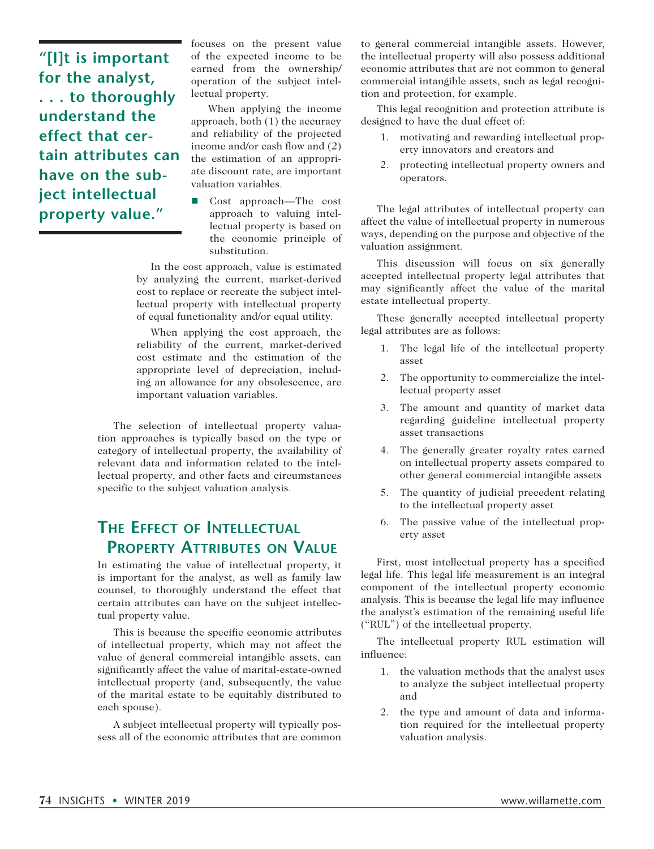**"[I]t is important for the analyst, . . . to thoroughly understand the effect that certain attributes can have on the subject intellectual property value."**

focuses on the present value of the expected income to be earned from the ownership/ operation of the subject intellectual property.

When applying the income approach, both (1) the accuracy and reliability of the projected income and/or cash flow and (2) the estimation of an appropriate discount rate, are important valuation variables.

Cost approach—The cost approach to valuing intellectual property is based on the economic principle of substitution.

 In the cost approach, value is estimated by analyzing the current, market-derived cost to replace or recreate the subject intellectual property with intellectual property of equal functionality and/or equal utility.

 When applying the cost approach, the reliability of the current, market-derived cost estimate and the estimation of the appropriate level of depreciation, including an allowance for any obsolescence, are important valuation variables.

The selection of intellectual property valuation approaches is typically based on the type or category of intellectual property, the availability of relevant data and information related to the intellectual property, and other facts and circumstances specific to the subject valuation analysis.

## **The Effect of Intellectual Property Attributes on Value**

In estimating the value of intellectual property, it is important for the analyst, as well as family law counsel, to thoroughly understand the effect that certain attributes can have on the subject intellectual property value.

This is because the specific economic attributes of intellectual property, which may not affect the value of general commercial intangible assets, can significantly affect the value of marital-estate-owned intellectual property (and, subsequently, the value of the marital estate to be equitably distributed to each spouse).

A subject intellectual property will typically possess all of the economic attributes that are common

to general commercial intangible assets. However, the intellectual property will also possess additional economic attributes that are not common to general commercial intangible assets, such as legal recognition and protection, for example.

This legal recognition and protection attribute is designed to have the dual effect of:

- 1. motivating and rewarding intellectual property innovators and creators and
- 2. protecting intellectual property owners and operators.

The legal attributes of intellectual property can affect the value of intellectual property in numerous ways, depending on the purpose and objective of the valuation assignment.

This discussion will focus on six generally accepted intellectual property legal attributes that may significantly affect the value of the marital estate intellectual property.

These generally accepted intellectual property legal attributes are as follows:

- 1. The legal life of the intellectual property asset
- 2. The opportunity to commercialize the intellectual property asset
- 3. The amount and quantity of market data regarding guideline intellectual property asset transactions
- 4. The generally greater royalty rates earned on intellectual property assets compared to other general commercial intangible assets
- 5. The quantity of judicial precedent relating to the intellectual property asset
- 6. The passive value of the intellectual property asset

First, most intellectual property has a specified legal life. This legal life measurement is an integral component of the intellectual property economic analysis. This is because the legal life may influence the analyst's estimation of the remaining useful life ("RUL") of the intellectual property.

The intellectual property RUL estimation will influence:

- 1. the valuation methods that the analyst uses to analyze the subject intellectual property and
- 2. the type and amount of data and information required for the intellectual property valuation analysis.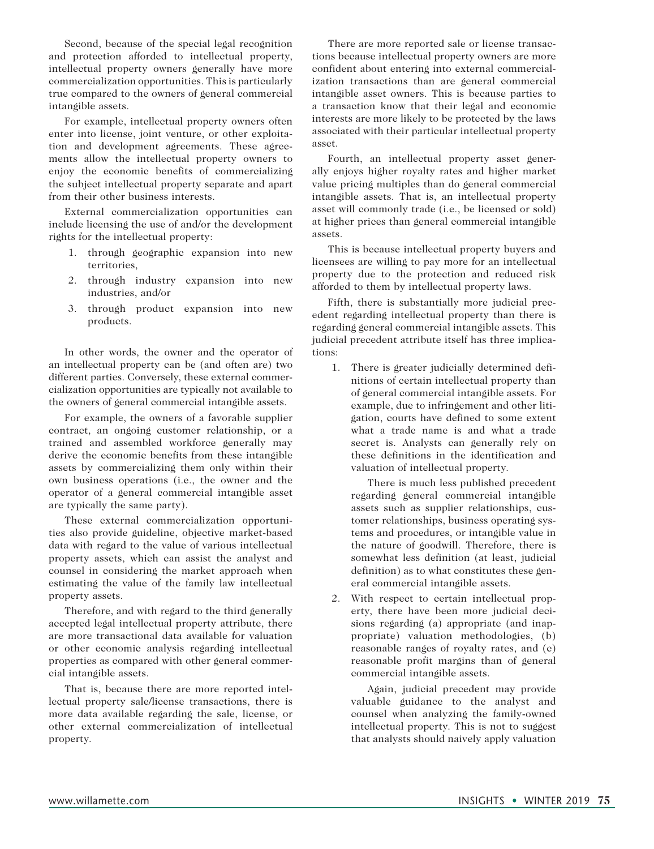Second, because of the special legal recognition and protection afforded to intellectual property, intellectual property owners generally have more commercialization opportunities. This is particularly true compared to the owners of general commercial intangible assets.

For example, intellectual property owners often enter into license, joint venture, or other exploitation and development agreements. These agreements allow the intellectual property owners to enjoy the economic benefits of commercializing the subject intellectual property separate and apart from their other business interests.

External commercialization opportunities can include licensing the use of and/or the development rights for the intellectual property:

- 1. through geographic expansion into new territories,
- 2. through industry expansion into new industries, and/or
- 3. through product expansion into new products.

In other words, the owner and the operator of an intellectual property can be (and often are) two different parties. Conversely, these external commercialization opportunities are typically not available to the owners of general commercial intangible assets.

For example, the owners of a favorable supplier contract, an ongoing customer relationship, or a trained and assembled workforce generally may derive the economic benefits from these intangible assets by commercializing them only within their own business operations (i.e., the owner and the operator of a general commercial intangible asset are typically the same party).

These external commercialization opportunities also provide guideline, objective market-based data with regard to the value of various intellectual property assets, which can assist the analyst and counsel in considering the market approach when estimating the value of the family law intellectual property assets.

Therefore, and with regard to the third generally accepted legal intellectual property attribute, there are more transactional data available for valuation or other economic analysis regarding intellectual properties as compared with other general commercial intangible assets.

That is, because there are more reported intellectual property sale/license transactions, there is more data available regarding the sale, license, or other external commercialization of intellectual property.

There are more reported sale or license transactions because intellectual property owners are more confident about entering into external commercialization transactions than are general commercial intangible asset owners. This is because parties to a transaction know that their legal and economic interests are more likely to be protected by the laws associated with their particular intellectual property asset.

Fourth, an intellectual property asset generally enjoys higher royalty rates and higher market value pricing multiples than do general commercial intangible assets. That is, an intellectual property asset will commonly trade (i.e., be licensed or sold) at higher prices than general commercial intangible assets.

This is because intellectual property buyers and licensees are willing to pay more for an intellectual property due to the protection and reduced risk afforded to them by intellectual property laws.

Fifth, there is substantially more judicial precedent regarding intellectual property than there is regarding general commercial intangible assets. This judicial precedent attribute itself has three implications:

1. There is greater judicially determined definitions of certain intellectual property than of general commercial intangible assets. For example, due to infringement and other litigation, courts have defined to some extent what a trade name is and what a trade secret is. Analysts can generally rely on these definitions in the identification and valuation of intellectual property.

 There is much less published precedent regarding general commercial intangible assets such as supplier relationships, customer relationships, business operating systems and procedures, or intangible value in the nature of goodwill. Therefore, there is somewhat less definition (at least, judicial definition) as to what constitutes these general commercial intangible assets.

2. With respect to certain intellectual property, there have been more judicial decisions regarding (a) appropriate (and inappropriate) valuation methodologies, (b) reasonable ranges of royalty rates, and (c) reasonable profit margins than of general commercial intangible assets.

 Again, judicial precedent may provide valuable guidance to the analyst and counsel when analyzing the family-owned intellectual property. This is not to suggest that analysts should naively apply valuation